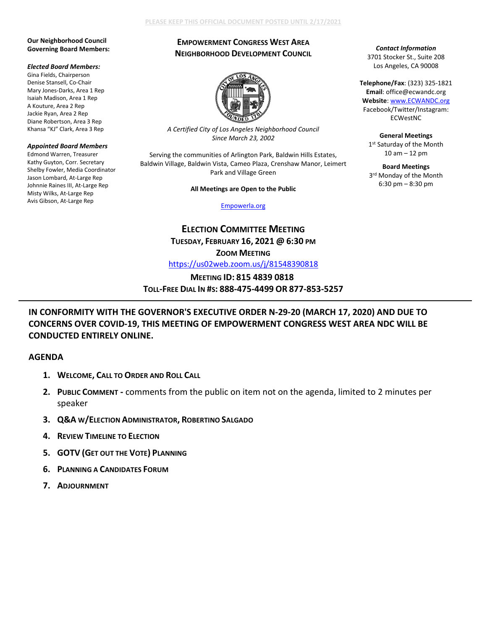### **PLEASE KEEP THIS OFFICIAL DOCUMENT POSTED UNTIL 2/17/2021**

### **Our Neighborhood Council Governing Board Members:**

#### *Elected Board Members:*

Gina Fields, Chairperson Denise Stansell, Co-Chair Mary Jones-Darks, Area 1 Rep Isaiah Madison, Area 1 Rep A Kouture, Area 2 Rep Jackie Ryan, Area 2 Rep Diane Robertson, Area 3 Rep Khansa "KJ" Clark, Area 3 Rep

### *Appointed Board Members*

Edmond Warren, Treasurer Kathy Guyton, Corr. Secretary Shelby Fowler, Media Coordinator Jason Lombard, At-Large Rep Johnnie Raines III, At-Large Rep Misty Wilks, At-Large Rep Avis Gibson, At-Large Rep

# **EMPOWERMENT CONGRESS WEST AREA NEIGHBORHOOD DEVELOPMENT COUNCIL**



*A Certified City of Los Angeles Neighborhood Council Since March 23, 2002*

Serving the communities of Arlington Park, Baldwin Hills Estates, Baldwin Village, Baldwin Vista, Cameo Plaza, Crenshaw Manor, Leimert Park and Village Green

### **All Meetings are Open to the Public**

[Empowerla.org](http://www.empowerla.org/)

**ELECTION COMMITTEE MEETING TUESDAY, FEBRUARY 16, 2021 @ 6:30 PM ZOOM MEETING** <https://us02web.zoom.us/j/81548390818>

# **MEETING ID: 815 4839 0818 TOLL-FREE DIAL IN #S: 888-475-4499 OR 877-853-5257**

# **IN CONFORMITY WITH THE GOVERNOR'S EXECUTIVE ORDER N-29-20 (MARCH 17, 2020) AND DUE TO CONCERNS OVER COVID-19, THIS MEETING OF EMPOWERMENT CONGRESS WEST AREA NDC WILL BE CONDUCTED ENTIRELY ONLINE.**

### **AGENDA**

- **1. WELCOME, CALL TO ORDER AND ROLL CALL**
- **2. PUBLIC COMMENT -** comments from the public on item not on the agenda, limited to 2 minutes per speaker
- **3. Q&A W/ELECTION ADMINISTRATOR, ROBERTINO SALGADO**
- **4. REVIEW TIMELINE TO ELECTION**
- **5. GOTV (GET OUT THE VOTE) PLANNING**
- **6. PLANNING A CANDIDATES FORUM**
- **7. ADJOURNMENT**

## *Contact Information* 3701 Stocker St., Suite 208 Los Angeles, CA 90008

**Telephone/Fax**: (323) 325-1821 **Email**: office@ecwandc.org **Website**[: www.ECWANDC.org](http://www.ecwandc.org/) Facebook/Twitter/Instagram: ECWestNC

**General Meetings** 1st Saturday of the Month 10 am – 12 pm

**Board Meetings** 3rd Monday of the Month 6:30 pm – 8:30 pm